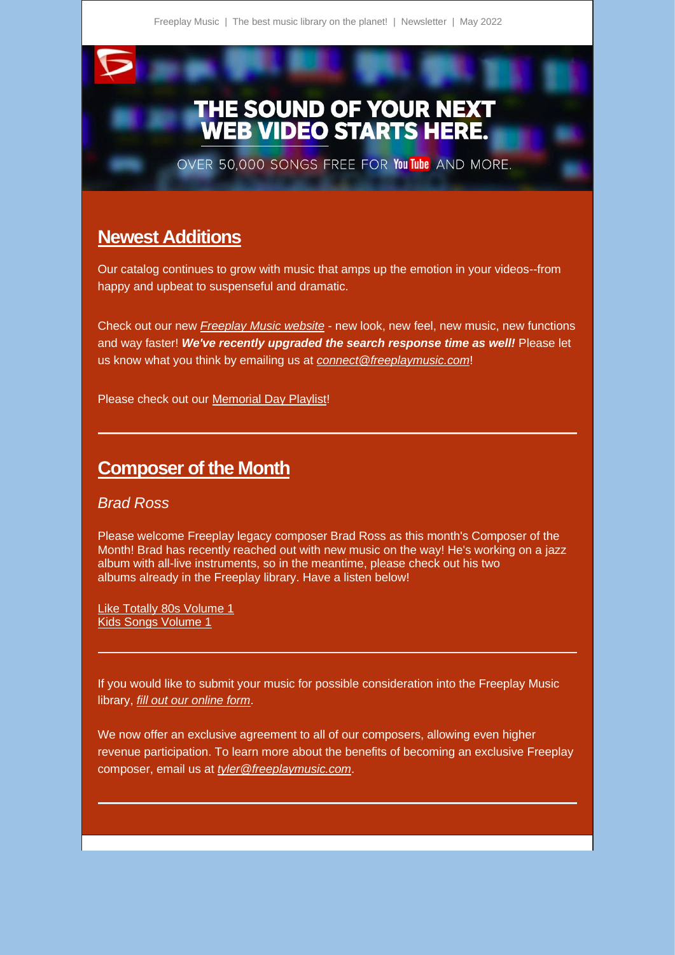## THE SOUND OF YOUR NEXT<br>WEB VIDEO STARTS HERE.

OVER 50,000 SONGS FREE FOR You Tube AND MORE.

## **Newest Additions**

Our catalog continues to grow with music that amps up the emotion in your videos--from happy and upbeat to suspenseful and dramatic.

Check out our new *[Freeplay Music website](https://freeplaymusic.us9.list-manage.com/track/click?u=7e9c0b646791cae49b563c75a&id=3f876285b1&e=d55d85eb66)* - new look, new feel, new music, new functions and way faster! *We've recently upgraded the search response time as well!* Please let us know what you think by emailing us at *[connect@freeplaymusic.com](mailto:connect@freeplaymusic.com)*!

Please check out our [Memorial Day Playlist!](https://freeplaymusic.us9.list-manage.com/track/click?u=7e9c0b646791cae49b563c75a&id=1b12264eba&e=d55d85eb66)

## **Composer of the Month**

## *Brad Ross*

Please welcome Freeplay legacy composer Brad Ross as this month's Composer of the Month! Brad has recently reached out with new music on the way! He's working on a jazz album with all-live instruments, so in the meantime, please check out his two albums already in the Freeplay library. Have a listen below!

[Like Totally 80s Volume 1](https://freeplaymusic.us9.list-manage.com/track/click?u=7e9c0b646791cae49b563c75a&id=e44425bbc6&e=d55d85eb66) [Kids Songs Volume 1](https://freeplaymusic.us9.list-manage.com/track/click?u=7e9c0b646791cae49b563c75a&id=2fee58046f&e=d55d85eb66)

If you would like to submit your music for possible consideration into the Freeplay Music library, *[fill out our online form](https://freeplaymusic.us9.list-manage.com/track/click?u=7e9c0b646791cae49b563c75a&id=47c0927a70&e=d55d85eb66)*.

We now offer an exclusive agreement to all of our composers, allowing even higher revenue participation. To learn more about the benefits of becoming an exclusive Freeplay composer, email us at *[tyler@freeplaymusic.com](mailto:tyler@freeplaymusic.com)*.